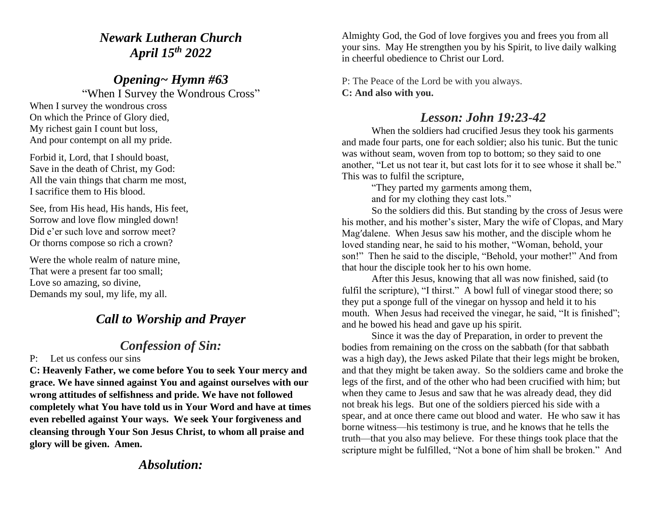### *Newark Lutheran Church April 15th 2022*

#### *Opening~ Hymn #63*

"When I Survey the Wondrous Cross"

When I survey the wondrous cross On which the Prince of Glory died, My richest gain I count but loss, And pour contempt on all my pride.

Forbid it, Lord, that I should boast, Save in the death of Christ, my God: All the vain things that charm me most, I sacrifice them to His blood.

See, from His head, His hands, His feet, Sorrow and love flow mingled down! Did e'er such love and sorrow meet? Or thorns compose so rich a crown?

Were the whole realm of nature mine, That were a present far too small; Love so amazing, so divine, Demands my soul, my life, my all.

## *Call to Worship and Prayer*

# *Confession of Sin:*

#### P: Let us confess our sins

**C: Heavenly Father, we come before You to seek Your mercy and grace. We have sinned against You and against ourselves with our wrong attitudes of selfishness and pride. We have not followed completely what You have told us in Your Word and have at times even rebelled against Your ways. We seek Your forgiveness and cleansing through Your Son Jesus Christ, to whom all praise and glory will be given. Amen.**

## *Absolution:*

Almighty God, the God of love forgives you and frees you from all your sins. May He strengthen you by his Spirit, to live daily walking in cheerful obedience to Christ our Lord.

P: The Peace of the Lord be with you always. **C: And also with you.**

### *Lesson: John 19:23-42*

When the soldiers had crucified Jesus they took his garments and made four parts, one for each soldier; also his tunic. But the tunic was without seam, woven from top to bottom; so they said to one another, "Let us not tear it, but cast lots for it to see whose it shall be." This was to fulfil the scripture,

> "They parted my garments among them, and for my clothing they cast lots."

So the soldiers did this. But standing by the cross of Jesus were his mother, and his mother's sister, Mary the wife of Clopas, and Mary Mag′dalene. When Jesus saw his mother, and the disciple whom he loved standing near, he said to his mother, "Woman, behold, your son!" Then he said to the disciple, "Behold, your mother!" And from that hour the disciple took her to his own home.

After this Jesus, knowing that all was now finished, said (to fulfil the scripture), "I thirst." A bowl full of vinegar stood there; so they put a sponge full of the vinegar on hyssop and held it to his mouth. When Jesus had received the vinegar, he said, "It is finished"; and he bowed his head and gave up his spirit.

Since it was the day of Preparation, in order to prevent the bodies from remaining on the cross on the sabbath (for that sabbath was a high day), the Jews asked Pilate that their legs might be broken, and that they might be taken away. So the soldiers came and broke the legs of the first, and of the other who had been crucified with him; but when they came to Jesus and saw that he was already dead, they did not break his legs. But one of the soldiers pierced his side with a spear, and at once there came out blood and water. He who saw it has borne witness—his testimony is true, and he knows that he tells the truth—that you also may believe. For these things took place that the scripture might be fulfilled, "Not a bone of him shall be broken." And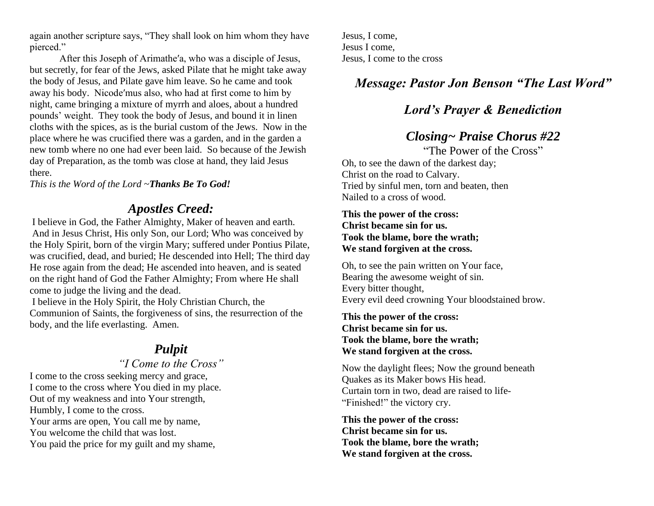again another scripture says, "They shall look on him whom they have pierced."

After this Joseph of Arimathe′a, who was a disciple of Jesus, but secretly, for fear of the Jews, asked Pilate that he might take away the body of Jesus, and Pilate gave him leave. So he came and took away his body. Nicode′mus also, who had at first come to him by night, came bringing a mixture of myrrh and aloes, about a hundred pounds' weight. They took the body of Jesus, and bound it in linen cloths with the spices, as is the burial custom of the Jews. Now in the place where he was crucified there was a garden, and in the garden a new tomb where no one had ever been laid. So because of the Jewish day of Preparation, as the tomb was close at hand, they laid Jesus there.

*This is the Word of the Lord ~Thanks Be To God!*

### *Apostles Creed:*

I believe in God, the Father Almighty, Maker of heaven and earth. And in Jesus Christ, His only Son, our Lord; Who was conceived by the Holy Spirit, born of the virgin Mary; suffered under Pontius Pilate, was crucified, dead, and buried; He descended into Hell; The third day He rose again from the dead; He ascended into heaven, and is seated on the right hand of God the Father Almighty; From where He shall come to judge the living and the dead.

I believe in the Holy Spirit, the Holy Christian Church, the Communion of Saints, the forgiveness of sins, the resurrection of the body, and the life everlasting. Amen.

# *Pulpit*

#### *"I Come to the Cross"*

I come to the cross seeking mercy and grace, I come to the cross where You died in my place. Out of my weakness and into Your strength, Humbly, I come to the cross. Your arms are open, You call me by name, You welcome the child that was lost. You paid the price for my guilt and my shame,

Jesus, I come, Jesus I come, Jesus, I come to the cross

#### *Message: Pastor Jon Benson "The Last Word"*

#### *Lord's Prayer & Benediction*

## *Closing~ Praise Chorus #22*

"The Power of the Cross" Oh, to see the dawn of the darkest day; Christ on the road to Calvary. Tried by sinful men, torn and beaten, then Nailed to a cross of wood.

#### **This the power of the cross: Christ became sin for us. Took the blame, bore the wrath; We stand forgiven at the cross.**

Oh, to see the pain written on Your face, Bearing the awesome weight of sin. Every bitter thought, Every evil deed crowning Your bloodstained brow.

**This the power of the cross: Christ became sin for us. Took the blame, bore the wrath; We stand forgiven at the cross.**

Now the daylight flees; Now the ground beneath Quakes as its Maker bows His head. Curtain torn in two, dead are raised to life- "Finished!" the victory cry.

**This the power of the cross: Christ became sin for us. Took the blame, bore the wrath; We stand forgiven at the cross.**